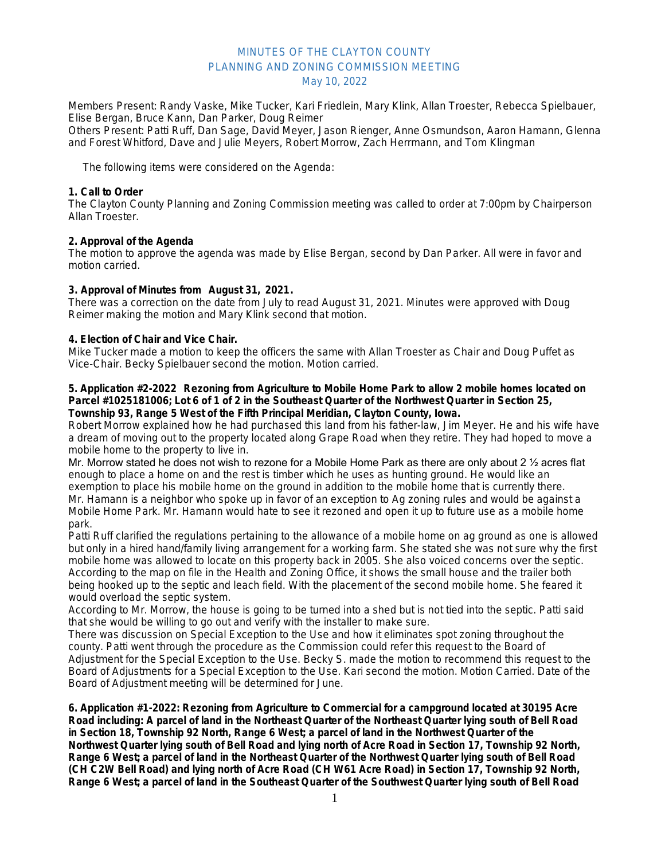# MINUTES OF THE CLAYTON COUNTY PLANNING AND ZONING COMMISSION MEETING May 10, 2022

Members Present: Randy Vaske, Mike Tucker, Kari Friedlein, Mary Klink, Allan Troester, Rebecca Spielbauer, Elise Bergan, Bruce Kann, Dan Parker, Doug Reimer

Others Present: Patti Ruff, Dan Sage, David Meyer, Jason Rienger, Anne Osmundson, Aaron Hamann, Glenna and Forest Whitford, Dave and Julie Meyers, Robert Morrow, Zach Herrmann, and Tom Klingman

The following items were considered on the Agenda:

## **1. Call to Order**

The Clayton County Planning and Zoning Commission meeting was called to order at 7:00pm by Chairperson Allan Troester.

## **2. Approval of the Agenda**

The motion to approve the agenda was made by Elise Bergan, second by Dan Parker. All were in favor and motion carried.

### **3. Approval of Minutes from August 31, 2021.**

There was a correction on the date from July to read August 31, 2021. Minutes were approved with Doug Reimer making the motion and Mary Klink second that motion.

### **4. Election of Chair and Vice Chair.**

Mike Tucker made a motion to keep the officers the same with Allan Troester as Chair and Doug Puffet as Vice-Chair. Becky Spielbauer second the motion. Motion carried.

#### **5. Application #2-2022 Rezoning from Agriculture to Mobile Home Park to allow 2 mobile homes located on Parcel #1025181006; Lot 6 of 1 of 2 in the Southeast Quarter of the Northwest Quarter in Section 25, Township 93, Range 5 West of the Fifth Principal Meridian, Clayton County, Iowa.**

Robert Morrow explained how he had purchased this land from his father-law, Jim Meyer. He and his wife have a dream of moving out to the property located along Grape Road when they retire. They had hoped to move a mobile home to the property to live in.

Mr. Morrow stated he does not wish to rezone for a Mobile Home Park as there are only about 2 ½ acres flat enough to place a home on and the rest is timber which he uses as hunting ground. He would like an exemption to place his mobile home on the ground in addition to the mobile home that is currently there. Mr. Hamann is a neighbor who spoke up in favor of an exception to Ag zoning rules and would be against a Mobile Home Park. Mr. Hamann would hate to see it rezoned and open it up to future use as a mobile home park.

Patti Ruff clarified the regulations pertaining to the allowance of a mobile home on ag ground as one is allowed but only in a hired hand/family living arrangement for a working farm. She stated she was not sure why the first mobile home was allowed to locate on this property back in 2005. She also voiced concerns over the septic. According to the map on file in the Health and Zoning Office, it shows the small house and the trailer both being hooked up to the septic and leach field. With the placement of the second mobile home. She feared it would overload the septic system.

According to Mr. Morrow, the house is going to be turned into a shed but is not tied into the septic. Patti said that she would be willing to go out and verify with the installer to make sure.

There was discussion on Special Exception to the Use and how it eliminates spot zoning throughout the county. Patti went through the procedure as the Commission could refer this request to the Board of Adjustment for the Special Exception to the Use. Becky S. made the motion to recommend this request to the Board of Adjustments for a Special Exception to the Use. Kari second the motion. Motion Carried. Date of the Board of Adjustment meeting will be determined for June.

**6. Application #1-2022: Rezoning from Agriculture to Commercial for a campground located at 30195 Acre Road including: A parcel of land in the Northeast Quarter of the Northeast Quarter lying south of Bell Road in Section 18, Township 92 North, Range 6 West; a parcel of land in the Northwest Quarter of the Northwest Quarter lying south of Bell Road and lying north of Acre Road in Section 17, Township 92 North, Range 6 West; a parcel of land in the Northeast Quarter of the Northwest Quarter lying south of Bell Road (CH C2W Bell Road) and lying north of Acre Road (CH W61 Acre Road) in Section 17, Township 92 North, Range 6 West; a parcel of land in the Southeast Quarter of the Southwest Quarter lying south of Bell Road**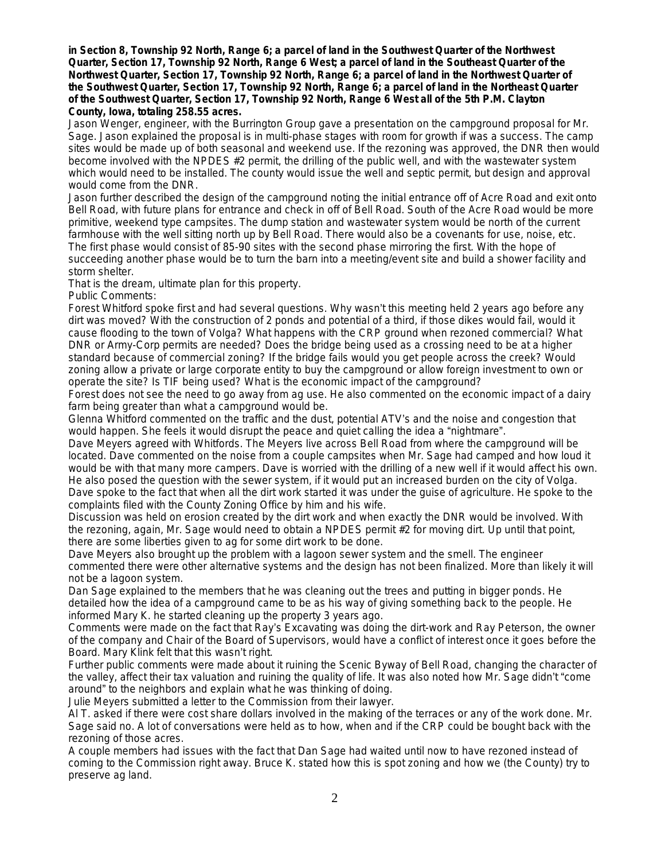**in Section 8, Township 92 North, Range 6; a parcel of land in the Southwest Quarter of the Northwest Quarter, Section 17, Township 92 North, Range 6 West; a parcel of land in the Southeast Quarter of the Northwest Quarter, Section 17, Township 92 North, Range 6; a parcel of land in the Northwest Quarter of the Southwest Quarter, Section 17, Township 92 North, Range 6; a parcel of land in the Northeast Quarter of the Southwest Quarter, Section 17, Township 92 North, Range 6 West all of the 5th P.M. Clayton County, Iowa, totaling 258.55 acres.**

Jason Wenger, engineer, with the Burrington Group gave a presentation on the campground proposal for Mr. Sage. Jason explained the proposal is in multi-phase stages with room for growth if was a success. The camp sites would be made up of both seasonal and weekend use. If the rezoning was approved, the DNR then would become involved with the NPDES #2 permit, the drilling of the public well, and with the wastewater system which would need to be installed. The county would issue the well and septic permit, but design and approval would come from the DNR.

Jason further described the design of the campground noting the initial entrance off of Acre Road and exit onto Bell Road, with future plans for entrance and check in off of Bell Road. South of the Acre Road would be more primitive, weekend type campsites. The dump station and wastewater system would be north of the current farmhouse with the well sitting north up by Bell Road. There would also be a covenants for use, noise, etc. The first phase would consist of 85-90 sites with the second phase mirroring the first. With the hope of succeeding another phase would be to turn the barn into a meeting/event site and build a shower facility and storm shelter.

That is the dream, ultimate plan for this property.

Public Comments:

Forest Whitford spoke first and had several questions. Why wasn't this meeting held 2 years ago before any dirt was moved? With the construction of 2 ponds and potential of a third, if those dikes would fail, would it cause flooding to the town of Volga? What happens with the CRP ground when rezoned commercial? What DNR or Army-Corp permits are needed? Does the bridge being used as a crossing need to be at a higher standard because of commercial zoning? If the bridge fails would you get people across the creek? Would zoning allow a private or large corporate entity to buy the campground or allow foreign investment to own or operate the site? Is TIF being used? What is the economic impact of the campground?

Forest does not see the need to go away from ag use. He also commented on the economic impact of a dairy farm being greater than what a campground would be.

Glenna Whitford commented on the traffic and the dust, potential ATV's and the noise and congestion that would happen. She feels it would disrupt the peace and quiet calling the idea a "nightmare".

Dave Meyers agreed with Whitfords. The Meyers live across Bell Road from where the campground will be located. Dave commented on the noise from a couple campsites when Mr. Sage had camped and how loud it would be with that many more campers. Dave is worried with the drilling of a new well if it would affect his own. He also posed the question with the sewer system, if it would put an increased burden on the city of Volga. Dave spoke to the fact that when all the dirt work started it was under the guise of agriculture. He spoke to the complaints filed with the County Zoning Office by him and his wife.

Discussion was held on erosion created by the dirt work and when exactly the DNR would be involved. With the rezoning, again, Mr. Sage would need to obtain a NPDES permit #2 for moving dirt. Up until that point, there are some liberties given to ag for some dirt work to be done.

Dave Meyers also brought up the problem with a lagoon sewer system and the smell. The engineer commented there were other alternative systems and the design has not been finalized. More than likely it will not be a lagoon system.

Dan Sage explained to the members that he was cleaning out the trees and putting in bigger ponds. He detailed how the idea of a campground came to be as his way of giving something back to the people. He informed Mary K. he started cleaning up the property 3 years ago.

Comments were made on the fact that Ray's Excavating was doing the dirt-work and Ray Peterson, the owner of the company and Chair of the Board of Supervisors, would have a conflict of interest once it goes before the Board. Mary Klink felt that this wasn't right.

Further public comments were made about it ruining the Scenic Byway of Bell Road, changing the character of the valley, affect their tax valuation and ruining the quality of life. It was also noted how Mr. Sage didn't "come around" to the neighbors and explain what he was thinking of doing.

Julie Meyers submitted a letter to the Commission from their lawyer.

Al T. asked if there were cost share dollars involved in the making of the terraces or any of the work done. Mr. Sage said no. A lot of conversations were held as to how, when and if the CRP could be bought back with the rezoning of those acres.

A couple members had issues with the fact that Dan Sage had waited until now to have rezoned instead of coming to the Commission right away. Bruce K. stated how this is spot zoning and how we (the County) try to preserve ag land.